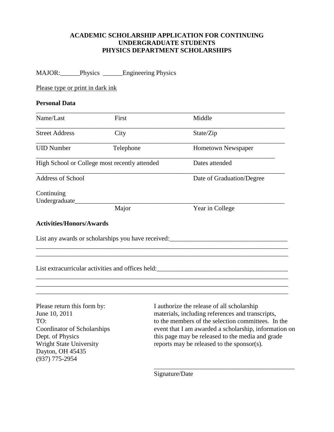## **ACADEMIC SCHOLARSHIP APPLICATION FOR CONTINUING UNDERGRADUATE STUDENTS PHYSICS DEPARTMENT SCHOLARSHIPS**

|                                               | MAJOR: Physics _______ Engineering Physics                                        |                           |
|-----------------------------------------------|-----------------------------------------------------------------------------------|---------------------------|
| Please type or print in dark ink              |                                                                                   |                           |
| <b>Personal Data</b>                          |                                                                                   |                           |
| Name/Last                                     | First                                                                             | Middle                    |
| <b>Street Address</b>                         | City                                                                              | State/Zip                 |
| <b>UID Number</b>                             | Telephone                                                                         | Hometown Newspaper        |
| High School or College most recently attended |                                                                                   | Dates attended            |
| <b>Address of School</b>                      |                                                                                   | Date of Graduation/Degree |
| Continuing<br>Undergraduate________           |                                                                                   |                           |
|                                               | Major                                                                             | Year in College           |
| <b>Activities/Honors/Awards</b>               |                                                                                   |                           |
|                                               | List any awards or scholarships you have received:_______________________________ |                           |
|                                               |                                                                                   |                           |
|                                               | List extracurricular activities and offices held: _______________________________ |                           |
|                                               |                                                                                   |                           |
|                                               |                                                                                   |                           |
|                                               |                                                                                   |                           |

Dayton, OH 45435 (937) 775-2954

Please return this form by: I authorize the release of all scholarship June 10, 2011 materials, including references and transcripts, TO: to the members of the selection committees. In the Coordinator of Scholarships event that I am awarded a scholarship, information on Dept. of Physics this page may be released to the media and grade Dept. of Physics this page may be released to the media and grade<br>Wright State University reports may be released to the sponsor(s). reports may be released to the sponsor(s).

\_\_\_\_\_\_\_\_\_\_\_\_\_\_\_\_\_\_\_\_\_\_\_\_\_\_\_\_\_\_\_\_\_\_\_\_\_\_\_\_\_\_\_

Signature/Date